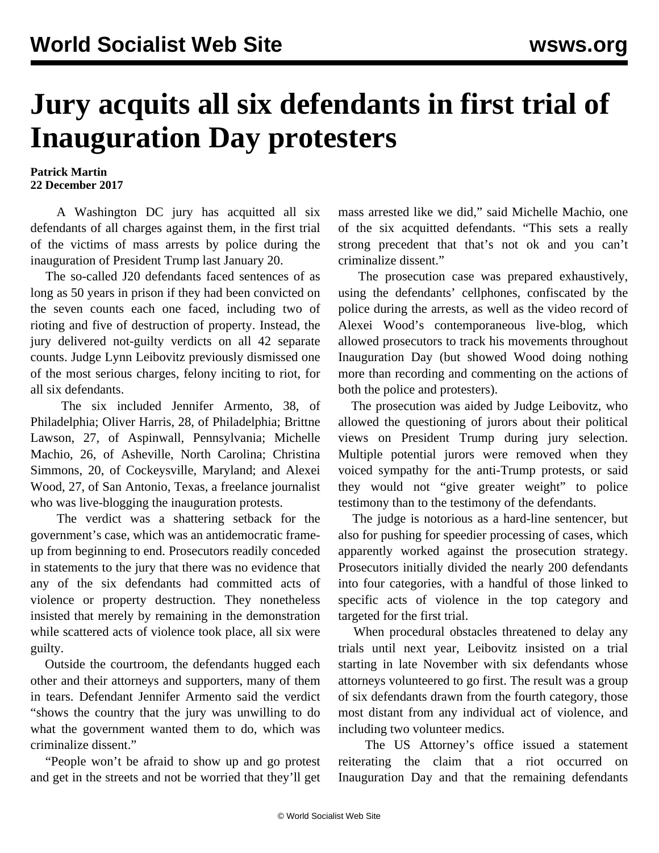## **Jury acquits all six defendants in first trial of Inauguration Day protesters**

## **Patrick Martin 22 December 2017**

 A Washington DC jury has acquitted all six defendants of all charges against them, in the first trial of the victims of mass arrests by police during the inauguration of President Trump last January 20.

 The so-called J20 defendants faced sentences of as long as 50 years in prison if they had been convicted on the seven counts each one faced, including two of rioting and five of destruction of property. Instead, the jury delivered not-guilty verdicts on all 42 separate counts. Judge Lynn Leibovitz previously dismissed one of the most serious charges, felony inciting to riot, for all six defendants.

 The six included Jennifer Armento, 38, of Philadelphia; Oliver Harris, 28, of Philadelphia; Brittne Lawson, 27, of Aspinwall, Pennsylvania; Michelle Machio, 26, of Asheville, North Carolina; Christina Simmons, 20, of Cockeysville, Maryland; and Alexei Wood, 27, of San Antonio, Texas, a freelance journalist who was live-blogging the inauguration protests.

 The verdict was a shattering setback for the government's case, which was an antidemocratic frameup from beginning to end. Prosecutors readily conceded in statements to the jury that there was no evidence that any of the six defendants had committed acts of violence or property destruction. They nonetheless insisted that merely by remaining in the demonstration while scattered acts of violence took place, all six were guilty.

 Outside the courtroom, the defendants hugged each other and their attorneys and supporters, many of them in tears. Defendant Jennifer Armento said the verdict "shows the country that the jury was unwilling to do what the government wanted them to do, which was criminalize dissent."

 "People won't be afraid to show up and go protest and get in the streets and not be worried that they'll get mass arrested like we did," said Michelle Machio, one of the six acquitted defendants. "This sets a really strong precedent that that's not ok and you can't criminalize dissent."

 The prosecution case was prepared exhaustively, using the defendants' cellphones, confiscated by the police during the arrests, as well as the video record of Alexei Wood's contemporaneous live-blog, which allowed prosecutors to track his movements throughout Inauguration Day (but showed Wood doing nothing more than recording and commenting on the actions of both the police and protesters).

 The prosecution was aided by Judge Leibovitz, who allowed the questioning of jurors about their political views on President Trump during jury selection. Multiple potential jurors were removed when they voiced sympathy for the anti-Trump protests, or said they would not "give greater weight" to police testimony than to the testimony of the defendants.

 The judge is notorious as a hard-line sentencer, but also for pushing for speedier processing of cases, which apparently worked against the prosecution strategy. Prosecutors initially divided the nearly 200 defendants into four categories, with a handful of those linked to specific acts of violence in the top category and targeted for the first trial.

 When procedural obstacles threatened to delay any trials until next year, Leibovitz insisted on a trial starting in late November with six defendants whose attorneys volunteered to go first. The result was a group of six defendants drawn from the fourth category, those most distant from any individual act of violence, and including two volunteer medics.

 The US Attorney's office issued a statement reiterating the claim that a riot occurred on Inauguration Day and that the remaining defendants